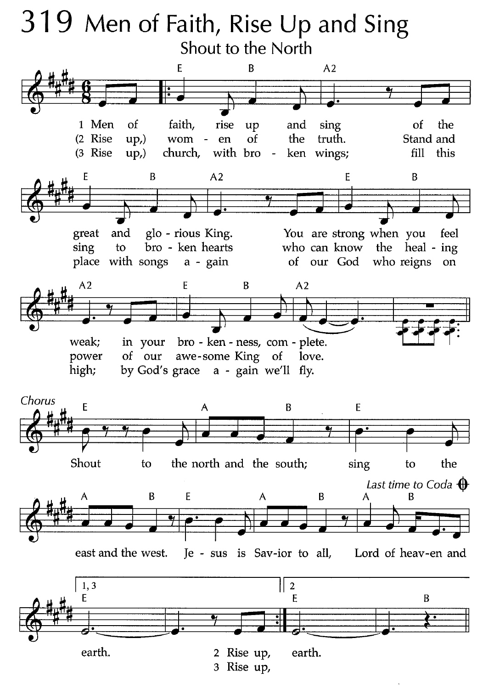